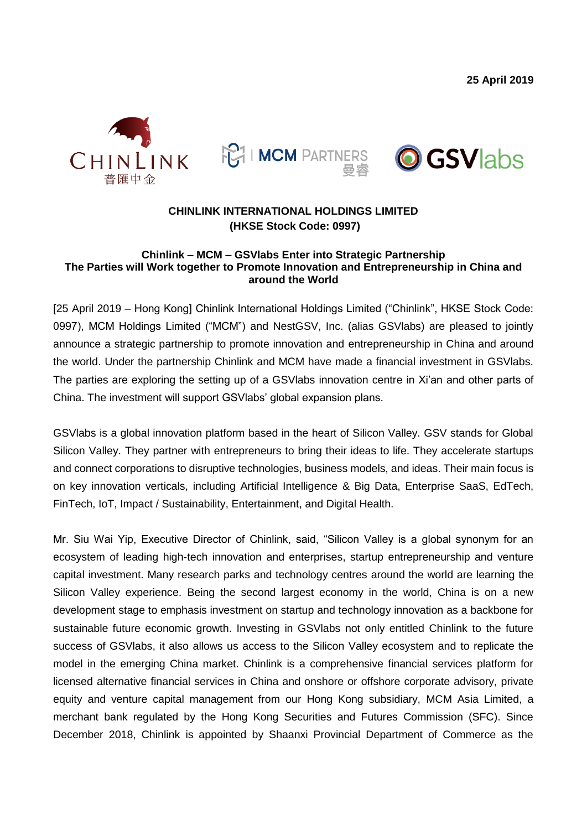**25 April 2019**







## **CHINLINK INTERNATIONAL HOLDINGS LIMITED (HKSE Stock Code: 0997)**

#### **Chinlink – MCM – GSVlabs Enter into Strategic Partnership The Parties will Work together to Promote Innovation and Entrepreneurship in China and around the World**

[25 April 2019 – Hong Kong] Chinlink International Holdings Limited ("Chinlink", HKSE Stock Code: 0997), MCM Holdings Limited ("MCM") and NestGSV, Inc. (alias GSVlabs) are pleased to jointly announce a strategic partnership to promote innovation and entrepreneurship in China and around the world. Under the partnership Chinlink and MCM have made a financial investment in GSVlabs. The parties are exploring the setting up of a GSVlabs innovation centre in Xi'an and other parts of China. The investment will support GSVlabs' global expansion plans.

GSVlabs is a global innovation platform based in the heart of Silicon Valley. GSV stands for Global Silicon Valley. They partner with entrepreneurs to bring their ideas to life. They accelerate startups and connect corporations to disruptive technologies, business models, and ideas. Their main focus is on key innovation verticals, including Artificial Intelligence & Big Data, Enterprise SaaS, EdTech, FinTech, IoT, Impact / Sustainability, Entertainment, and Digital Health.

Mr. Siu Wai Yip, Executive Director of Chinlink, said, "Silicon Valley is a global synonym for an ecosystem of leading high-tech innovation and enterprises, startup entrepreneurship and venture capital investment. Many research parks and technology centres around the world are learning the Silicon Valley experience. Being the second largest economy in the world, China is on a new development stage to emphasis investment on startup and technology innovation as a backbone for sustainable future economic growth. Investing in GSVlabs not only entitled Chinlink to the future success of GSVlabs, it also allows us access to the Silicon Valley ecosystem and to replicate the model in the emerging China market. Chinlink is a comprehensive financial services platform for licensed alternative financial services in China and onshore or offshore corporate advisory, private equity and venture capital management from our Hong Kong subsidiary, MCM Asia Limited, a merchant bank regulated by the Hong Kong Securities and Futures Commission (SFC). Since December 2018, Chinlink is appointed by Shaanxi Provincial Department of Commerce as the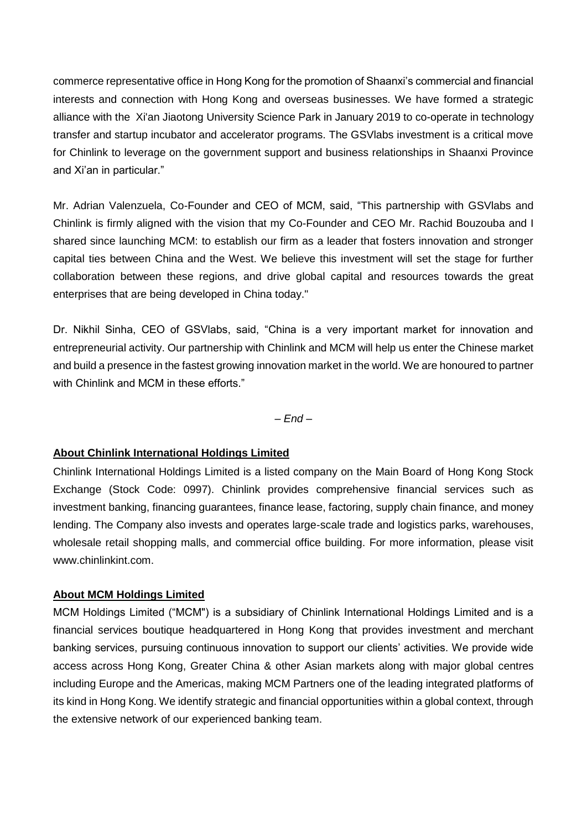commerce representative office in Hong Kong for the promotion of Shaanxi's commercial and financial interests and connection with Hong Kong and overseas businesses. We have formed a strategic alliance with the Xi'an Jiaotong University Science Park in January 2019 to co-operate in technology transfer and startup incubator and accelerator programs. The GSVlabs investment is a critical move for Chinlink to leverage on the government support and business relationships in Shaanxi Province and Xi'an in particular."

Mr. Adrian Valenzuela, Co-Founder and CEO of MCM, said, "This partnership with GSVlabs and Chinlink is firmly aligned with the vision that my Co-Founder and CEO Mr. Rachid Bouzouba and I shared since launching MCM: to establish our firm as a leader that fosters innovation and stronger capital ties between China and the West. We believe this investment will set the stage for further collaboration between these regions, and drive global capital and resources towards the great enterprises that are being developed in China today."

Dr. Nikhil Sinha, CEO of GSVlabs, said, "China is a very important market for innovation and entrepreneurial activity. Our partnership with Chinlink and MCM will help us enter the Chinese market and build a presence in the fastest growing innovation market in the world. We are honoured to partner with Chinlink and MCM in these efforts."

*– End –*

# **About Chinlink International Holdings Limited**

Chinlink International Holdings Limited is a listed company on the Main Board of Hong Kong Stock Exchange (Stock Code: 0997). Chinlink provides comprehensive financial services such as investment banking, financing guarantees, finance lease, factoring, supply chain finance, and money lending. The Company also invests and operates large-scale trade and logistics parks, warehouses, wholesale retail shopping malls, and commercial office building. For more information, please visit [www.chinlinkint.com.](http://www.chinlinkint.com/)

## **About MCM Holdings Limited**

MCM Holdings Limited ("MCM") is a subsidiary of Chinlink International Holdings Limited and is a financial services boutique headquartered in Hong Kong that provides investment and merchant banking services, pursuing continuous innovation to support our clients' activities. We provide wide access across Hong Kong, Greater China & other Asian markets along with major global centres including Europe and the Americas, making MCM Partners one of the leading integrated platforms of its kind in Hong Kong. We identify strategic and financial opportunities within a global context, through the extensive network of our experienced banking team.